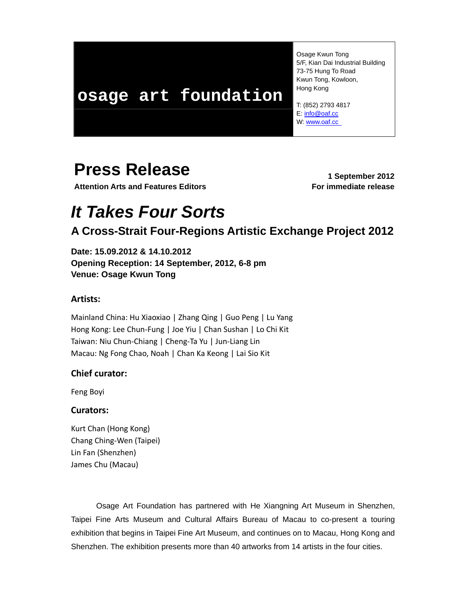## **osage art foundation**

 Osage Kwun Tong 5/F, Kian Dai Industrial Building 73-75 Hung To Road Kwun Tong, Kowloon, Hong Kong

 T: (852) 2793 4817 E: info@oaf.cc W: www.oaf.cc

## **Press Release** 1 September 2012

**Attention Arts and Features Editors For immediate release**

# *It Takes Four Sorts*

## **A Cross-Strait Four-Regions Artistic Exchange Project 2012**

**Date: 15.09.2012 & 14.10.2012 Opening Reception: 14 September, 2012, 6-8 pm Venue: Osage Kwun Tong** 

## **Artists:**

Mainland China: Hu Xiaoxiao | Zhang Qing | Guo Peng | Lu Yang Hong Kong: Lee Chun‐Fung | Joe Yiu | Chan Sushan | Lo Chi Kit Taiwan: Niu Chun‐Chiang | Cheng‐Ta Yu | Jun‐Liang Lin Macau: Ng Fong Chao, Noah | Chan Ka Keong | Lai Sio Kit

## **Chief curator:**

Feng Boyi

### **Curators:**

Kurt Chan (Hong Kong) Chang Ching‐Wen (Taipei) Lin Fan (Shenzhen) James Chu (Macau)

Osage Art Foundation has partnered with He Xiangning Art Museum in Shenzhen, Taipei Fine Arts Museum and Cultural Affairs Bureau of Macau to co-present a touring exhibition that begins in Taipei Fine Art Museum, and continues on to Macau, Hong Kong and Shenzhen. The exhibition presents more than 40 artworks from 14 artists in the four cities.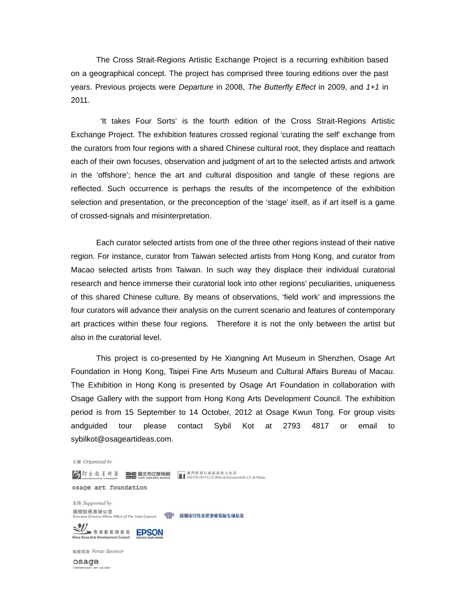The Cross Strait-Regions Artistic Exchange Project is a recurring exhibition based on a geographical concept. The project has comprised three touring editions over the past years. Previous projects were *Departure* in 2008, *The Butterfly Effect* in 2009, and *1+1* in 2011.

 'It takes Four Sorts' is the fourth edition of the Cross Strait-Regions Artistic Exchange Project. The exhibition features crossed regional 'curating the self' exchange from the curators from four regions with a shared Chinese cultural root, they displace and reattach each of their own focuses, observation and judgment of art to the selected artists and artwork in the 'offshore'; hence the art and cultural disposition and tangle of these regions are reflected. Such occurrence is perhaps the results of the incompetence of the exhibition selection and presentation, or the preconception of the 'stage' itself, as if art itself is a game of crossed-signals and misinterpretation.

Each curator selected artists from one of the three other regions instead of their native region. For instance, curator from Taiwan selected artists from Hong Kong, and curator from Macao selected artists from Taiwan. In such way they displace their individual curatorial research and hence immerse their curatorial look into other regions' peculiarities, uniqueness of this shared Chinese culture. By means of observations, 'field work' and impressions the four curators will advance their analysis on the current scenario and features of contemporary art practices within these four regions. Therefore it is not the only between the artist but also in the curatorial level.

 This project is co-presented by He Xiangning Art Museum in Shenzhen, Osage Art Foundation in Hong Kong, Taipei Fine Arts Museum and Cultural Affairs Bureau of Macau. The Exhibition in Hong Kong is presented by Osage Art Foundation in collaboration with Osage Gallery with the support from Hong Kong Arts Development Council. The exhibition period is from 15 September to 14 October, 2012 at Osage Kwun Tong. For group visits andguided tour please contact Sybil Kot at 2793 4817 or email to sybilkot@osageartideas.com.

主辦 Organized by

osage art foundation 支持 Supported by 國務院僑務辦公室<br>Overseas Chinese Affairs Office of The State Council にいつ 深圳市宣传文化事业发展专项基金 **SIZ** 香港藝術發展局 EPSON

場地贊助 Venue Sponsor

Hong Kong Arts Development Council

osage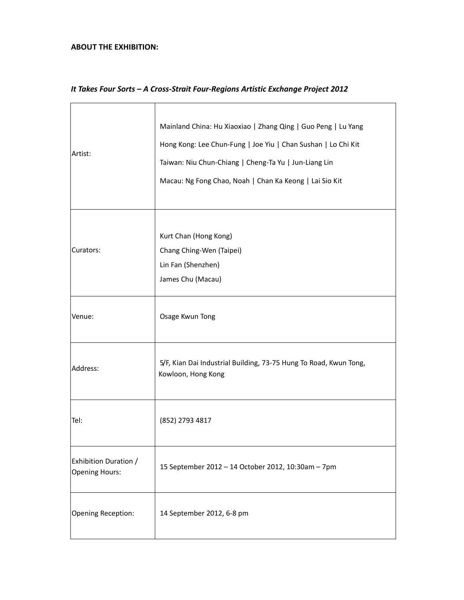## **ABOUT THE EXHIBITION:**

| Artist:                                        | Mainland China: Hu Xiaoxiao   Zhang Qing   Guo Peng   Lu Yang<br>Hong Kong: Lee Chun-Fung   Joe Yiu   Chan Sushan   Lo Chi Kit<br>Taiwan: Niu Chun-Chiang   Cheng-Ta Yu   Jun-Liang Lin<br>Macau: Ng Fong Chao, Noah   Chan Ka Keong   Lai Sio Kit |
|------------------------------------------------|----------------------------------------------------------------------------------------------------------------------------------------------------------------------------------------------------------------------------------------------------|
| Curators:                                      | Kurt Chan (Hong Kong)<br>Chang Ching-Wen (Taipei)<br>Lin Fan (Shenzhen)<br>James Chu (Macau)                                                                                                                                                       |
| Venue:                                         | Osage Kwun Tong                                                                                                                                                                                                                                    |
| Address:                                       | 5/F, Kian Dai Industrial Building, 73-75 Hung To Road, Kwun Tong,<br>Kowloon, Hong Kong                                                                                                                                                            |
| Tel:                                           | (852) 2793 4817                                                                                                                                                                                                                                    |
| Exhibition Duration /<br><b>Opening Hours:</b> | 15 September 2012 - 14 October 2012, 10:30am - 7pm                                                                                                                                                                                                 |
| Opening Reception:                             | 14 September 2012, 6-8 pm                                                                                                                                                                                                                          |

## *It Takes Four Sorts – A Cross‐Strait Four‐Regions Artistic Exchange Project 2012*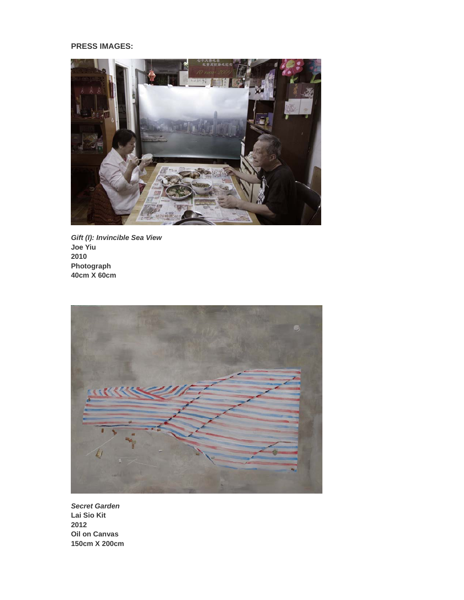#### **PRESS IMAGES:**



*Gift (I): Invincible Sea View*  **Joe Yiu 2010 Photograph 40cm X 60cm** 



*Secret Garden*  **Lai Sio Kit 2012 Oil on Canvas 150cm X 200cm**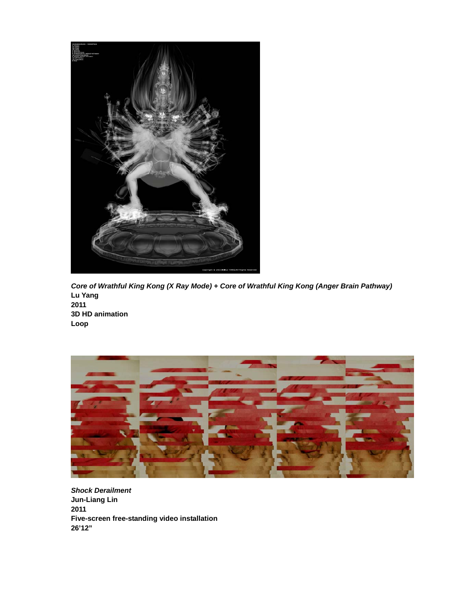

*Core of Wrathful King Kong (X Ray Mode) + Core of Wrathful King Kong (Anger Brain Pathway)* **Lu Yang 2011 3D HD animation Loop**



*Shock Derailment*  **Jun-Liang Lin 2011 Five-screen free-standing video installation 26'12"**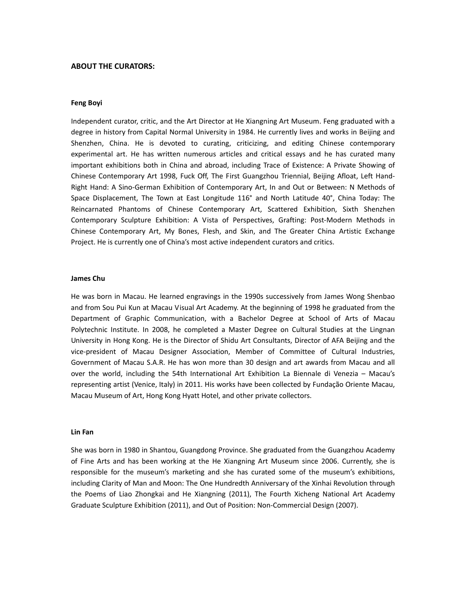#### **ABOUT THE CURATORS:**

#### **Feng Boyi**

Independent curator, critic, and the Art Director at He Xiangning Art Museum. Feng graduated with a degree in history from Capital Normal University in 1984. He currently lives and works in Beijing and Shenzhen, China. He is devoted to curating, criticizing, and editing Chinese contemporary experimental art. He has written numerous articles and critical essays and he has curated many important exhibitions both in China and abroad, including Trace of Existence: A Private Showing of Chinese Contemporary Art 1998, Fuck Off, The First Guangzhou Triennial, Beijing Afloat, Left Hand‐ Right Hand: A Sino‐German Exhibition of Contemporary Art, In and Out or Between: N Methods of Space Displacement, The Town at East Longitude 116° and North Latitude 40°, China Today: The Reincarnated Phantoms of Chinese Contemporary Art, Scattered Exhibition, Sixth Shenzhen Contemporary Sculpture Exhibition: A Vista of Perspectives, Grafting: Post‐Modern Methods in Chinese Contemporary Art, My Bones, Flesh, and Skin, and The Greater China Artistic Exchange Project. He is currently one of China's most active independent curators and critics.

#### **James Chu**

He was born in Macau. He learned engravings in the 1990s successively from James Wong Shenbao and from Sou Pui Kun at Macau Visual Art Academy. At the beginning of 1998 he graduated from the Department of Graphic Communication, with a Bachelor Degree at School of Arts of Macau Polytechnic Institute. In 2008, he completed a Master Degree on Cultural Studies at the Lingnan University in Hong Kong. He is the Director of Shidu Art Consultants, Director of AFA Beijing and the vice‐president of Macau Designer Association, Member of Committee of Cultural Industries, Government of Macau S.A.R. He has won more than 30 design and art awards from Macau and all over the world, including the 54th International Art Exhibition La Biennale di Venezia – Macau's representing artist (Venice, Italy) in 2011. His works have been collected by Fundação Oriente Macau, Macau Museum of Art, Hong Kong Hyatt Hotel, and other private collectors.

#### **Lin Fan**

She was born in 1980 in Shantou, Guangdong Province. She graduated from the Guangzhou Academy of Fine Arts and has been working at the He Xiangning Art Museum since 2006. Currently, she is responsible for the museum's marketing and she has curated some of the museum's exhibitions, including Clarity of Man and Moon: The One Hundredth Anniversary of the Xinhai Revolution through the Poems of Liao Zhongkai and He Xiangning (2011), The Fourth Xicheng National Art Academy Graduate Sculpture Exhibition (2011), and Out of Position: Non‐Commercial Design (2007).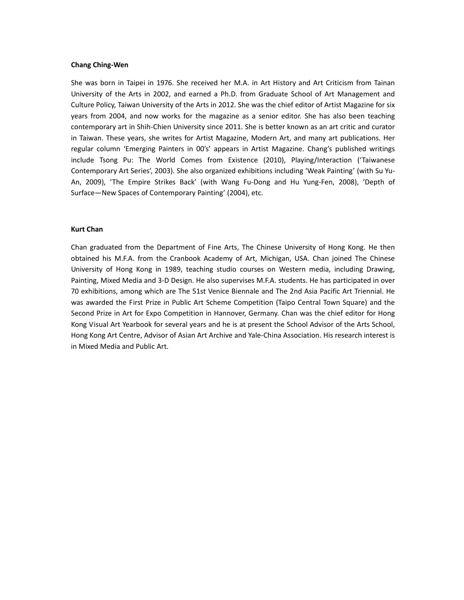#### **Chang Ching‐Wen**

She was born in Taipei in 1976. She received her M.A. in Art History and Art Criticism from Tainan University of the Arts in 2002, and earned a Ph.D. from Graduate School of Art Management and Culture Policy, Taiwan University of the Arts in 2012. She was the chief editor of Artist Magazine for six years from 2004, and now works for the magazine as a senior editor. She has also been teaching contemporary art in Shih‐Chien University since 2011. She is better known as an art critic and curator in Taiwan. These years, she writes for Artist Magazine, Modern Art, and many art publications. Her regular column 'Emerging Painters in 00's' appears in Artist Magazine. Chang's published writings include Tsong Pu: The World Comes from Existence (2010), Playing/Interaction ('Taiwanese Contemporary Art Series', 2003). She also organized exhibitions including 'Weak Painting' (with Su Yu‐ An, 2009), 'The Empire Strikes Back' (with Wang Fu‐Dong and Hu Yung‐Fen, 2008), 'Depth of Surface—New Spaces of Contemporary Painting' (2004), etc.

#### **Kurt Chan**

Chan graduated from the Department of Fine Arts, The Chinese University of Hong Kong. He then obtained his M.F.A. from the Cranbook Academy of Art, Michigan, USA. Chan joined The Chinese University of Hong Kong in 1989, teaching studio courses on Western media, including Drawing, Painting, Mixed Media and 3‐D Design. He also supervises M.F.A. students. He has participated in over 70 exhibitions, among which are The 51st Venice Biennale and The 2nd Asia Pacific Art Triennial. He was awarded the First Prize in Public Art Scheme Competition (Taipo Central Town Square) and the Second Prize in Art for Expo Competition in Hannover, Germany. Chan was the chief editor for Hong Kong Visual Art Yearbook for several years and he is at present the School Advisor of the Arts School, Hong Kong Art Centre, Advisor of Asian Art Archive and Yale‐China Association. His research interest is in Mixed Media and Public Art.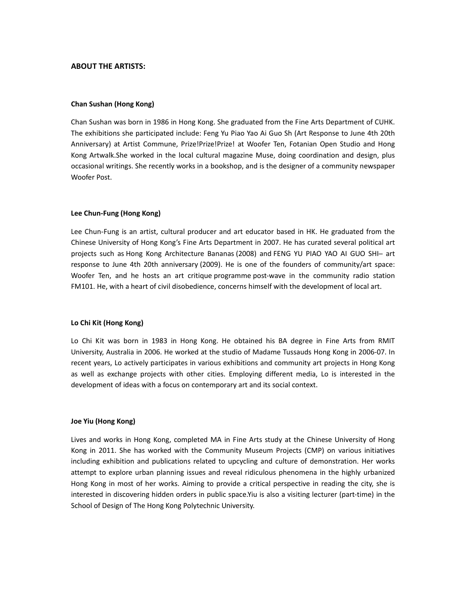#### **ABOUT THE ARTISTS:**

#### **Chan Sushan (Hong Kong)**

Chan Sushan was born in 1986 in Hong Kong. She graduated from the Fine Arts Department of CUHK. The exhibitions she participated include: Feng Yu Piao Yao Ai Guo Sh (Art Response to June 4th 20th Anniversary) at Artist Commune, Prize!Prize!Prize! at Woofer Ten, Fotanian Open Studio and Hong Kong Artwalk.She worked in the local cultural magazine Muse, doing coordination and design, plus occasional writings. She recently works in a bookshop, and is the designer of a community newspaper Woofer Post.

#### **Lee Chun‐Fung (Hong Kong)**

Lee Chun‐Fung is an artist, cultural producer and art educator based in HK. He graduated from the Chinese University of Hong Kong's Fine Arts Department in 2007. He has curated several political art projects such as Hong Kong Architecture Bananas (2008) and FENG YU PIAO YAO AI GUO SHI- art response to June 4th 20th anniversary (2009). He is one of the founders of community/art space: Woofer Ten, and he hosts an art critique programme post-wave in the community radio station FM101. He, with a heart of civil disobedience, concerns himself with the development of local art.

#### **Lo Chi Kit (Hong Kong)**

Lo Chi Kit was born in 1983 in Hong Kong. He obtained his BA degree in Fine Arts from RMIT University, Australia in 2006. He worked at the studio of Madame Tussauds Hong Kong in 2006‐07. In recent years, Lo actively participates in various exhibitions and community art projects in Hong Kong as well as exchange projects with other cities. Employing different media, Lo is interested in the development of ideas with a focus on contemporary art and its social context.

#### **Joe Yiu (Hong Kong)**

Lives and works in Hong Kong, completed MA in Fine Arts study at the Chinese University of Hong Kong in 2011. She has worked with the Community Museum Projects (CMP) on various initiatives including exhibition and publications related to upcycling and culture of demonstration. Her works attempt to explore urban planning issues and reveal ridiculous phenomena in the highly urbanized Hong Kong in most of her works. Aiming to provide a critical perspective in reading the city, she is interested in discovering hidden orders in public space.Yiu is also a visiting lecturer (part‐time) in the School of Design of The Hong Kong Polytechnic University.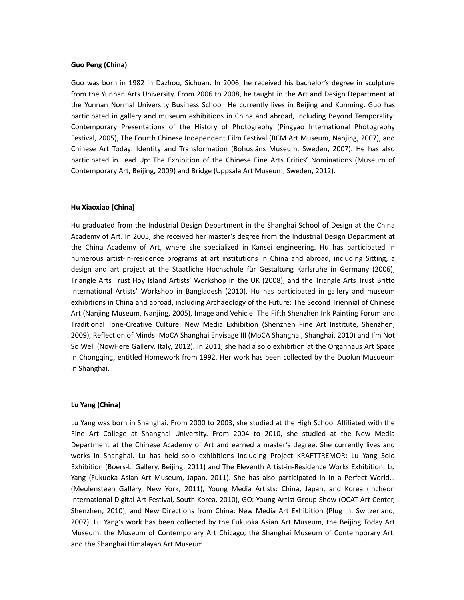#### **Guo Peng (China)**

Guo was born in 1982 in Dazhou, Sichuan. In 2006, he received his bachelor's degree in sculpture from the Yunnan Arts University. From 2006 to 2008, he taught in the Art and Design Department at the Yunnan Normal University Business School. He currently lives in Beijing and Kunming. Guo has participated in gallery and museum exhibitions in China and abroad, including Beyond Temporality: Contemporary Presentations of the History of Photography (Pingyao International Photography Festival, 2005), The Fourth Chinese Independent Film Festival (RCM Art Museum, Nanjing, 2007), and Chinese Art Today: Identity and Transformation (Bohusläns Museum, Sweden, 2007). He has also participated in Lead Up: The Exhibition of the Chinese Fine Arts Critics' Nominations (Museum of Contemporary Art, Beijing, 2009) and Bridge (Uppsala Art Museum, Sweden, 2012).

#### **Hu Xiaoxiao (China)**

Hu graduated from the Industrial Design Department in the Shanghai School of Design at the China Academy of Art. In 2005, she received her master's degree from the Industrial Design Department at the China Academy of Art, where she specialized in Kansei engineering. Hu has participated in numerous artist‐in‐residence programs at art institutions in China and abroad, including Sitting, a design and art project at the Staatliche Hochschule für Gestaltung Karlsruhe in Germany (2006), Triangle Arts Trust Hoy Island Artists' Workshop in the UK (2008), and the Triangle Arts Trust Britto International Artists' Workshop in Bangladesh (2010). Hu has participated in gallery and museum exhibitions in China and abroad, including Archaeology of the Future: The Second Triennial of Chinese Art (Nanjing Museum, Nanjing, 2005), Image and Vehicle: The Fifth Shenzhen Ink Painting Forum and Traditional Tone‐Creative Culture: New Media Exhibition (Shenzhen Fine Art Institute, Shenzhen, 2009), Reflection of Minds: MoCA Shanghai Envisage III (MoCA Shanghai, Shanghai, 2010) and I'm Not So Well (NowHere Gallery, Italy, 2012). In 2011, she had a solo exhibition at the Organhaus Art Space in Chongqing, entitled Homework from 1992. Her work has been collected by the Duolun Musueum in Shanghai.

#### **Lu Yang (China)**

Lu Yang was born in Shanghai. From 2000 to 2003, she studied at the High School Affiliated with the Fine Art College at Shanghai University. From 2004 to 2010, she studied at the New Media Department at the Chinese Academy of Art and earned a master's degree. She currently lives and works in Shanghai. Lu has held solo exhibitions including Project KRAFTTREMOR: Lu Yang Solo Exhibition (Boers‐Li Gallery, Beijing, 2011) and The Eleventh Artist‐in‐Residence Works Exhibition: Lu Yang (Fukuoka Asian Art Museum, Japan, 2011). She has also participated in In a Perfect World… (Meulensteen Gallery, New York, 2011), Young Media Artists: China, Japan, and Korea (Incheon International Digital Art Festival, South Korea, 2010), GO: Young Artist Group Show (OCAT Art Center, Shenzhen, 2010), and New Directions from China: New Media Art Exhibition (Plug In, Switzerland, 2007). Lu Yang's work has been collected by the Fukuoka Asian Art Museum, the Beijing Today Art Museum, the Museum of Contemporary Art Chicago, the Shanghai Museum of Contemporary Art, and the Shanghai Himalayan Art Museum.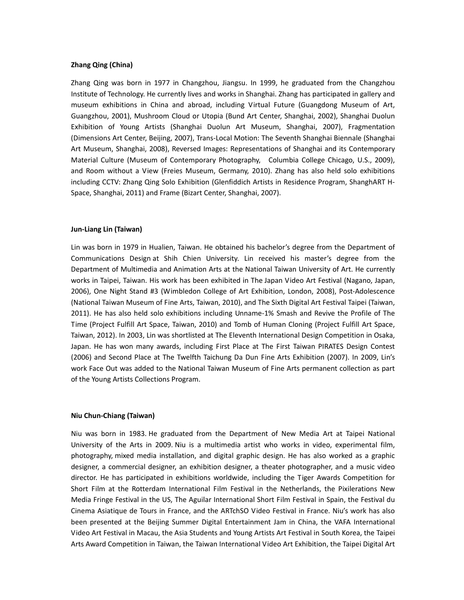#### **Zhang Qing (China)**

Zhang Qing was born in 1977 in Changzhou, Jiangsu. In 1999, he graduated from the Changzhou Institute of Technology. He currently lives and works in Shanghai. Zhang has participated in gallery and museum exhibitions in China and abroad, including Virtual Future (Guangdong Museum of Art, Guangzhou, 2001), Mushroom Cloud or Utopia (Bund Art Center, Shanghai, 2002), Shanghai Duolun Exhibition of Young Artists (Shanghai Duolun Art Museum, Shanghai, 2007), Fragmentation (Dimensions Art Center, Beijing, 2007), Trans‐Local Motion: The Seventh Shanghai Biennale (Shanghai Art Museum, Shanghai, 2008), Reversed Images: Representations of Shanghai and its Contemporary Material Culture (Museum of Contemporary Photography, Columbia College Chicago, U.S., 2009), and Room without a View (Freies Museum, Germany, 2010). Zhang has also held solo exhibitions including CCTV: Zhang Qing Solo Exhibition (Glenfiddich Artists in Residence Program, ShanghART H‐ Space, Shanghai, 2011) and Frame (Bizart Center, Shanghai, 2007).

#### **Jun‐Liang Lin (Taiwan)**

Lin was born in 1979 in Hualien, Taiwan. He obtained his bachelor's degree from the Department of Communications Design at Shih Chien University. Lin received his master's degree from the Department of Multimedia and Animation Arts at the National Taiwan University of Art. He currently works in Taipei, Taiwan. His work has been exhibited in The Japan Video Art Festival (Nagano, Japan, 2006), One Night Stand #3 (Wimbledon College of Art Exhibition, London, 2008), Post‐Adolescence (National Taiwan Museum of Fine Arts, Taiwan, 2010), and The Sixth Digital Art Festival Taipei (Taiwan, 2011). He has also held solo exhibitions including Unname‐1% Smash and Revive the Profile of The Time (Project Fulfill Art Space, Taiwan, 2010) and Tomb of Human Cloning (Project Fulfill Art Space, Taiwan, 2012). In 2003, Lin was shortlisted at The Eleventh International Design Competition in Osaka, Japan. He has won many awards, including First Place at The First Taiwan PIRATES Design Contest (2006) and Second Place at The Twelfth Taichung Da Dun Fine Arts Exhibition (2007). In 2009, Lin's work Face Out was added to the National Taiwan Museum of Fine Arts permanent collection as part of the Young Artists Collections Program.

#### **Niu Chun‐Chiang (Taiwan)**

Niu was born in 1983. He graduated from the Department of New Media Art at Taipei National University of the Arts in 2009. Niu is a multimedia artist who works in video, experimental film, photography, mixed media installation, and digital graphic design. He has also worked as a graphic designer, a commercial designer, an exhibition designer, a theater photographer, and a music video director. He has participated in exhibitions worldwide, including the Tiger Awards Competition for Short Film at the Rotterdam International Film Festival in the Netherlands, the Pixilerations New Media Fringe Festival in the US, The Aguilar International Short Film Festival in Spain, the Festival du Cinema Asiatique de Tours in France, and the ARTchSO Video Festival in France. Niu's work has also been presented at the Beijing Summer Digital Entertainment Jam in China, the VAFA International Video Art Festival in Macau, the Asia Students and Young Artists Art Festival in South Korea, the Taipei Arts Award Competition in Taiwan, the Taiwan International Video Art Exhibition, the Taipei Digital Art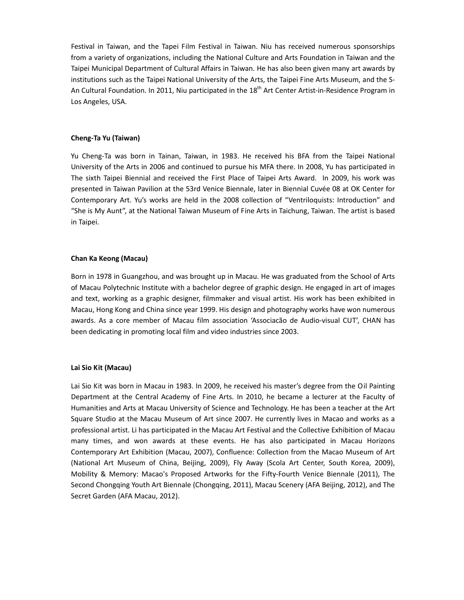Festival in Taiwan, and the Tapei Film Festival in Taiwan. Niu has received numerous sponsorships from a variety of organizations, including the National Culture and Arts Foundation in Taiwan and the Taipei Municipal Department of Cultural Affairs in Taiwan. He has also been given many art awards by institutions such as the Taipei National University of the Arts, the Taipei Fine Arts Museum, and the S‐ An Cultural Foundation. In 2011, Niu participated in the 18<sup>th</sup> Art Center Artist-in-Residence Program in Los Angeles, USA.

#### **Cheng‐Ta Yu (Taiwan)**

Yu Cheng‐Ta was born in Tainan, Taiwan, in 1983. He received his BFA from the Taipei National University of the Arts in 2006 and continued to pursue his MFA there. In 2008, Yu has participated in The sixth Taipei Biennial and received the First Place of Taipei Arts Award. In 2009, his work was presented in Taiwan Pavilion at the 53rd Venice Biennale, later in Biennial Cuvée 08 at OK Center for Contemporary Art. Yu's works are held in the 2008 collection of "Ventriloquists: Introduction" and "She is My Aunt", at the National Taiwan Museum of Fine Arts in Taichung, Taiwan. The artist is based in Taipei.

#### **Chan Ka Keong (Macau)**

Born in 1978 in Guangzhou, and was brought up in Macau. He was graduated from the School of Arts of Macau Polytechnic Institute with a bachelor degree of graphic design. He engaged in art of images and text, working as a graphic designer, filmmaker and visual artist. His work has been exhibited in Macau, Hong Kong and China since year 1999. His design and photography works have won numerous awards. As a core member of Macau film association 'Associacão de Audio‐visual CUT', CHAN has been dedicating in promoting local film and video industries since 2003.

#### **Lai Sio Kit (Macau)**

Lai Sio Kit was born in Macau in 1983. In 2009, he received his master's degree from the Oil Painting Department at the Central Academy of Fine Arts. In 2010, he became a lecturer at the Faculty of Humanities and Arts at Macau University of Science and Technology. He has been a teacher at the Art Square Studio at the Macau Museum of Art since 2007. He currently lives in Macao and works as a professional artist. Li has participated in the Macau Art Festival and the Collective Exhibition of Macau many times, and won awards at these events. He has also participated in Macau Horizons Contemporary Art Exhibition (Macau, 2007), Confluence: Collection from the Macao Museum of Art (National Art Museum of China, Beijing, 2009), Fly Away (Scola Art Center, South Korea, 2009), Mobility & Memory: Macao's Proposed Artworks for the Fifty‐Fourth Venice Biennale (2011), The Second Chongqing Youth Art Biennale (Chongqing, 2011), Macau Scenery (AFA Beijing, 2012), and The Secret Garden (AFA Macau, 2012).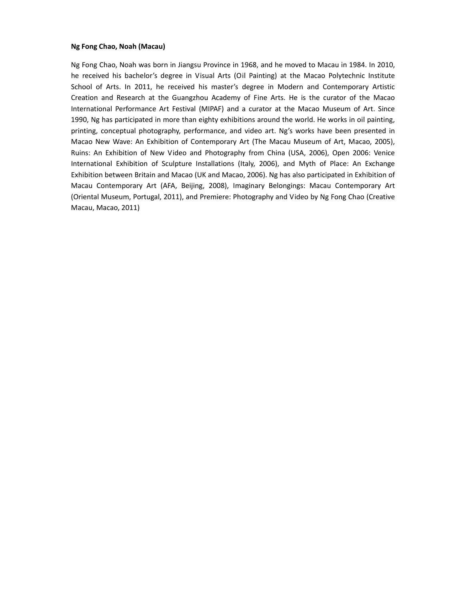#### **Ng Fong Chao, Noah (Macau)**

Ng Fong Chao, Noah was born in Jiangsu Province in 1968, and he moved to Macau in 1984. In 2010, he received his bachelor's degree in Visual Arts (Oil Painting) at the Macao Polytechnic Institute School of Arts. In 2011, he received his master's degree in Modern and Contemporary Artistic Creation and Research at the Guangzhou Academy of Fine Arts. He is the curator of the Macao International Performance Art Festival (MIPAF) and a curator at the Macao Museum of Art. Since 1990, Ng has participated in more than eighty exhibitions around the world. He works in oil painting, printing, conceptual photography, performance, and video art. Ng's works have been presented in Macao New Wave: An Exhibition of Contemporary Art (The Macau Museum of Art, Macao, 2005), Ruins: An Exhibition of New Video and Photography from China (USA, 2006), Open 2006: Venice International Exhibition of Sculpture Installations (Italy, 2006), and Myth of Place: An Exchange Exhibition between Britain and Macao (UK and Macao, 2006). Ng has also participated in Exhibition of Macau Contemporary Art (AFA, Beijing, 2008), Imaginary Belongings: Macau Contemporary Art (Oriental Museum, Portugal, 2011), and Premiere: Photography and Video by Ng Fong Chao (Creative Macau, Macao, 2011)